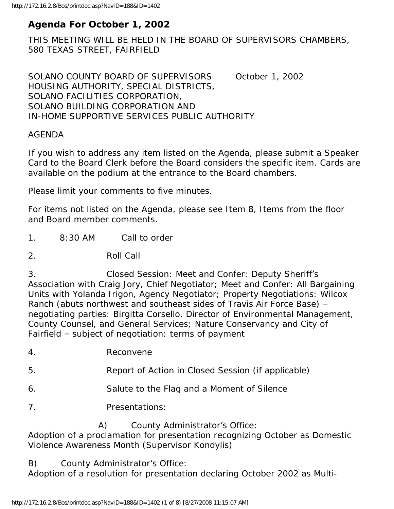# **Agenda For October 1, 2002**

THIS MEETING WILL BE HELD IN THE BOARD OF SUPERVISORS CHAMBERS, 580 TEXAS STREET, FAIRFIELD

SOLANO COUNTY BOARD OF SUPERVISORS October 1, 2002 HOUSING AUTHORITY, SPECIAL DISTRICTS, SOLANO FACILITIES CORPORATION, SOLANO BUILDING CORPORATION AND IN-HOME SUPPORTIVE SERVICES PUBLIC AUTHORITY

#### AGENDA

If you wish to address any item listed on the Agenda, please submit a Speaker Card to the Board Clerk before the Board considers the specific item. Cards are available on the podium at the entrance to the Board chambers.

Please limit your comments to five minutes.

For items not listed on the Agenda, please see Item 8, Items from the floor and Board member comments.

- 1. 8:30 AM Call to order
- 2. Roll Call

3. Closed Session: Meet and Confer: Deputy Sheriff's Association with Craig Jory, Chief Negotiator; Meet and Confer: All Bargaining Units with Yolanda Irigon, Agency Negotiator; Property Negotiations: Wilcox Ranch (abuts northwest and southeast sides of Travis Air Force Base) – negotiating parties: Birgitta Corsello, Director of Environmental Management, County Counsel, and General Services; Nature Conservancy and City of Fairfield – subject of negotiation: terms of payment

4. Reconvene

- 5. Report of Action in Closed Session (if applicable)
- 6. Salute to the Flag and a Moment of Silence
- 7. Presentations:

A) County Administrator's Office:

Adoption of a proclamation for presentation recognizing October as Domestic Violence Awareness Month (Supervisor Kondylis)

B) County Administrator's Office:

Adoption of a resolution for presentation declaring October 2002 as Multi-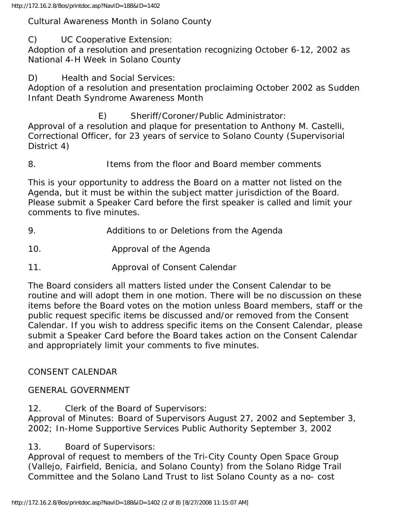#### Cultural Awareness Month in Solano County

C) UC Cooperative Extension:

Adoption of a resolution and presentation recognizing October 6-12, 2002 as National 4-H Week in Solano County

D) Health and Social Services:

Adoption of a resolution and presentation proclaiming October 2002 as Sudden Infant Death Syndrome Awareness Month

E) Sheriff/Coroner/Public Administrator:

Approval of a resolution and plaque for presentation to Anthony M. Castelli, Correctional Officer, for 23 years of service to Solano County (Supervisorial District 4)

8. Items from the floor and Board member comments

This is your opportunity to address the Board on a matter not listed on the Agenda, but it must be within the subject matter jurisdiction of the Board. Please submit a Speaker Card before the first speaker is called and limit your comments to five minutes.

- 9. Additions to or Deletions from the Agenda
- 10. Approval of the Agenda
- 11. Approval of Consent Calendar

The Board considers all matters listed under the Consent Calendar to be routine and will adopt them in one motion. There will be no discussion on these items before the Board votes on the motion unless Board members, staff or the public request specific items be discussed and/or removed from the Consent Calendar. If you wish to address specific items on the Consent Calendar, please submit a Speaker Card before the Board takes action on the Consent Calendar and appropriately limit your comments to five minutes.

## CONSENT CALENDAR

### GENERAL GOVERNMENT

12. Clerk of the Board of Supervisors:

Approval of Minutes: Board of Supervisors August 27, 2002 and September 3, 2002; In-Home Supportive Services Public Authority September 3, 2002

13. Board of Supervisors:

Approval of request to members of the Tri-City County Open Space Group (Vallejo, Fairfield, Benicia, and Solano County) from the Solano Ridge Trail Committee and the Solano Land Trust to list Solano County as a no- cost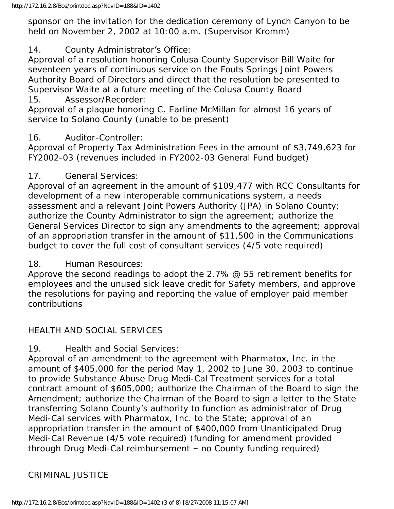sponsor on the invitation for the dedication ceremony of Lynch Canyon to be held on November 2, 2002 at 10:00 a.m. (Supervisor Kromm)

14. County Administrator's Office:

Approval of a resolution honoring Colusa County Supervisor Bill Waite for seventeen years of continuous service on the Fouts Springs Joint Powers Authority Board of Directors and direct that the resolution be presented to Supervisor Waite at a future meeting of the Colusa County Board 15. Assessor/Recorder:

Approval of a plaque honoring C. Earline McMillan for almost 16 years of service to Solano County (unable to be present)

#### 16. Auditor-Controller:

Approval of Property Tax Administration Fees in the amount of \$3,749,623 for FY2002-03 (revenues included in FY2002-03 General Fund budget)

#### 17. General Services:

Approval of an agreement in the amount of \$109,477 with RCC Consultants for development of a new interoperable communications system, a needs assessment and a relevant Joint Powers Authority (JPA) in Solano County; authorize the County Administrator to sign the agreement; authorize the General Services Director to sign any amendments to the agreement; approval of an appropriation transfer in the amount of \$11,500 in the Communications budget to cover the full cost of consultant services (4/5 vote required)

18. Human Resources:

Approve the second readings to adopt the 2.7% @ 55 retirement benefits for employees and the unused sick leave credit for Safety members, and approve the resolutions for paying and reporting the value of employer paid member contributions

### HEALTH AND SOCIAL SERVICES

19. Health and Social Services:

Approval of an amendment to the agreement with Pharmatox, Inc. in the amount of \$405,000 for the period May 1, 2002 to June 30, 2003 to continue to provide Substance Abuse Drug Medi-Cal Treatment services for a total contract amount of \$605,000; authorize the Chairman of the Board to sign the Amendment; authorize the Chairman of the Board to sign a letter to the State transferring Solano County's authority to function as administrator of Drug Medi-Cal services with Pharmatox, Inc. to the State; approval of an appropriation transfer in the amount of \$400,000 from Unanticipated Drug Medi-Cal Revenue (4/5 vote required) (funding for amendment provided through Drug Medi-Cal reimbursement – no County funding required)

### CRIMINAL JUSTICE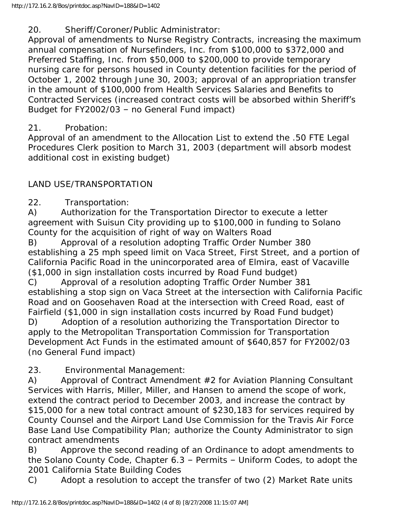20. Sheriff/Coroner/Public Administrator:

Approval of amendments to Nurse Registry Contracts, increasing the maximum annual compensation of Nursefinders, Inc. from \$100,000 to \$372,000 and Preferred Staffing, Inc. from \$50,000 to \$200,000 to provide temporary nursing care for persons housed in County detention facilities for the period of October 1, 2002 through June 30, 2003; approval of an appropriation transfer in the amount of \$100,000 from Health Services Salaries and Benefits to Contracted Services (increased contract costs will be absorbed within Sheriff's Budget for FY2002/03 – no General Fund impact)

# 21. Probation:

Approval of an amendment to the Allocation List to extend the .50 FTE Legal Procedures Clerk position to March 31, 2003 (department will absorb modest additional cost in existing budget)

# LAND USE/TRANSPORTATION

22. Transportation:

A) Authorization for the Transportation Director to execute a letter agreement with Suisun City providing up to \$100,000 in funding to Solano County for the acquisition of right of way on Walters Road

B) Approval of a resolution adopting Traffic Order Number 380 establishing a 25 mph speed limit on Vaca Street, First Street, and a portion of California Pacific Road in the unincorporated area of Elmira, east of Vacaville (\$1,000 in sign installation costs incurred by Road Fund budget)

C) Approval of a resolution adopting Traffic Order Number 381 establishing a stop sign on Vaca Street at the intersection with California Pacific Road and on Goosehaven Road at the intersection with Creed Road, east of Fairfield (\$1,000 in sign installation costs incurred by Road Fund budget) D) Adoption of a resolution authorizing the Transportation Director to

apply to the Metropolitan Transportation Commission for Transportation Development Act Funds in the estimated amount of \$640,857 for FY2002/03 (no General Fund impact)

23. Environmental Management:

A) Approval of Contract Amendment #2 for Aviation Planning Consultant Services with Harris, Miller, Miller, and Hansen to amend the scope of work, extend the contract period to December 2003, and increase the contract by \$15,000 for a new total contract amount of \$230,183 for services required by County Counsel and the Airport Land Use Commission for the Travis Air Force Base Land Use Compatibility Plan; authorize the County Administrator to sign contract amendments

B) Approve the second reading of an Ordinance to adopt amendments to the Solano County Code, Chapter 6.3 – Permits – Uniform Codes, to adopt the 2001 California State Building Codes

C) Adopt a resolution to accept the transfer of two (2) Market Rate units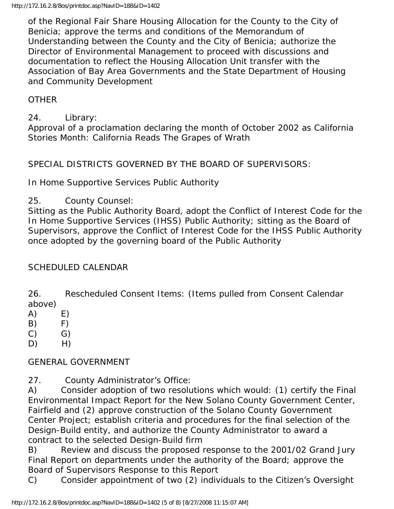of the Regional Fair Share Housing Allocation for the County to the City of Benicia; approve the terms and conditions of the Memorandum of Understanding between the County and the City of Benicia; authorize the Director of Environmental Management to proceed with discussions and documentation to reflect the Housing Allocation Unit transfer with the Association of Bay Area Governments and the State Department of Housing and Community Development

### **OTHER**

24. Library: Approval of a proclamation declaring the month of October 2002 as California Stories Month: California Reads The Grapes of Wrath

SPECIAL DISTRICTS GOVERNED BY THE BOARD OF SUPERVISORS:

In Home Supportive Services Public Authority

25. County Counsel:

Sitting as the Public Authority Board, adopt the Conflict of Interest Code for the In Home Supportive Services (IHSS) Public Authority; sitting as the Board of Supervisors, approve the Conflict of Interest Code for the IHSS Public Authority once adopted by the governing board of the Public Authority

### SCHEDULED CALENDAR

26. Rescheduled Consent Items: (Items pulled from Consent Calendar above)

- $(A)$  E)
- $(B)$  F)
- $(C)$   $G)$
- $D)$  H)

### GENERAL GOVERNMENT

27. County Administrator's Office:

A) Consider adoption of two resolutions which would: (1) certify the Final Environmental Impact Report for the New Solano County Government Center, Fairfield and (2) approve construction of the Solano County Government Center Project; establish criteria and procedures for the final selection of the Design-Build entity, and authorize the County Administrator to award a contract to the selected Design-Build firm

B) Review and discuss the proposed response to the 2001/02 Grand Jury Final Report on departments under the authority of the Board; approve the Board of Supervisors Response to this Report

C) Consider appointment of two (2) individuals to the Citizen's Oversight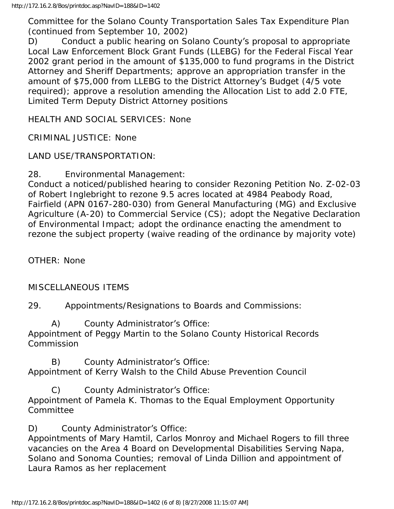Committee for the Solano County Transportation Sales Tax Expenditure Plan (continued from September 10, 2002)

D) Conduct a public hearing on Solano County's proposal to appropriate Local Law Enforcement Block Grant Funds (LLEBG) for the Federal Fiscal Year 2002 grant period in the amount of \$135,000 to fund programs in the District Attorney and Sheriff Departments; approve an appropriation transfer in the amount of \$75,000 from LLEBG to the District Attorney's Budget (4/5 vote required); approve a resolution amending the Allocation List to add 2.0 FTE, Limited Term Deputy District Attorney positions

HEALTH AND SOCIAL SERVICES: None

CRIMINAL JUSTICE: None

LAND USE/TRANSPORTATION:

28. Environmental Management:

Conduct a noticed/published hearing to consider Rezoning Petition No. Z-02-03 of Robert Inglebright to rezone 9.5 acres located at 4984 Peabody Road, Fairfield (APN 0167-280-030) from General Manufacturing (MG) and Exclusive Agriculture (A-20) to Commercial Service (CS); adopt the Negative Declaration of Environmental Impact; adopt the ordinance enacting the amendment to rezone the subject property (waive reading of the ordinance by majority vote)

OTHER: None

MISCELLANEOUS ITEMS

29. Appointments/Resignations to Boards and Commissions:

 A) County Administrator's Office: Appointment of Peggy Martin to the Solano County Historical Records **Commission** 

 B) County Administrator's Office: Appointment of Kerry Walsh to the Child Abuse Prevention Council

 C) County Administrator's Office: Appointment of Pamela K. Thomas to the Equal Employment Opportunity Committee

D) County Administrator's Office:

Appointments of Mary Hamtil, Carlos Monroy and Michael Rogers to fill three vacancies on the Area 4 Board on Developmental Disabilities Serving Napa, Solano and Sonoma Counties; removal of Linda Dillion and appointment of Laura Ramos as her replacement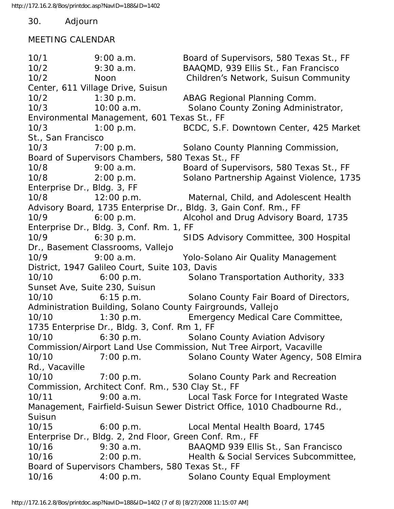30. Adjourn

#### MEETING CALENDAR

10/1 9:00 a.m. Board of Supervisors, 580 Texas St., FF 10/2 9:30 a.m. BAAQMD, 939 Ellis St., Fan Francisco 10/2 Noon Children's Network, Suisun Community Center, 611 Village Drive, Suisun 10/2 1:30 p.m. ABAG Regional Planning Comm. 10/3 10:00 a.m. Solano County Zoning Administrator, Environmental Management, 601 Texas St., FF 10/3 1:00 p.m. BCDC, S.F. Downtown Center, 425 Market St., San Francisco 10/3 7:00 p.m. Solano County Planning Commission, Board of Supervisors Chambers, 580 Texas St., FF 10/8 9:00 a.m. Board of Supervisors, 580 Texas St., FF 10/8 2:00 p.m. Solano Partnership Against Violence, 1735 Enterprise Dr., Bldg. 3, FF 10/8 12:00 p.m. Maternal, Child, and Adolescent Health Advisory Board, 1735 Enterprise Dr., Bldg. 3, Gain Conf. Rm., FF 10/9 6:00 p.m. Alcohol and Drug Advisory Board, 1735 Enterprise Dr., Bldg. 3, Conf. Rm. 1, FF 10/9 6:30 p.m. SIDS Advisory Committee, 300 Hospital Dr., Basement Classrooms, Vallejo 10/9 9:00 a.m. Yolo-Solano Air Quality Management District, 1947 Galileo Court, Suite 103, Davis 10/10 6:00 p.m. Solano Transportation Authority, 333 Sunset Ave, Suite 230, Suisun 10/10 6:15 p.m. Solano County Fair Board of Directors, Administration Building, Solano County Fairgrounds, Vallejo 10/10 1:30 p.m. Emergency Medical Care Committee, 1735 Enterprise Dr., Bldg. 3, Conf. Rm 1, FF 10/10 6:30 p.m. Solano County Aviation Advisory Commission/Airport Land Use Commission, Nut Tree Airport, Vacaville 10/10 7:00 p.m. Solano County Water Agency, 508 Elmira Rd., Vacaville 10/10 7:00 p.m. Solano County Park and Recreation Commission, Architect Conf. Rm., 530 Clay St., FF 10/11 9:00 a.m. Local Task Force for Integrated Waste Management, Fairfield-Suisun Sewer District Office, 1010 Chadbourne Rd., Suisun 10/15 6:00 p.m. Local Mental Health Board, 1745 Enterprise Dr., Bldg. 2, 2nd Floor, Green Conf. Rm., FF 10/16 9:30 a.m. BAAQMD 939 Ellis St., San Francisco 10/16 2:00 p.m. Health & Social Services Subcommittee, Board of Supervisors Chambers, 580 Texas St., FF 10/16 4:00 p.m. Solano County Equal Employment